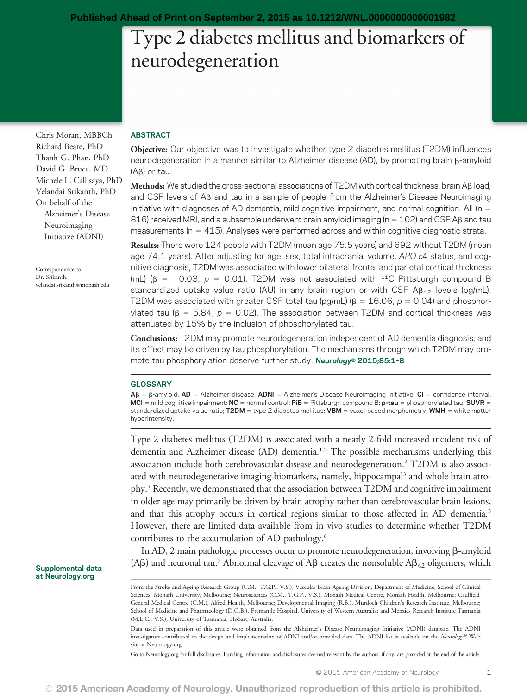# Type 2 diabetes mellitus and biomarkers of neurodegeneration

Chris Moran, MBBCh Richard Beare, PhD Thanh G. Phan, PhD David G. Bruce, MD Michele L. Callisaya, PhD Velandai Srikanth, PhD On behalf of the Alzheimer's Disease Neuroimaging Initiative (ADNI)

Correspondence to Dr. Srikanth: [velandai.srikanth@monash.edu](mailto:velandai.srikanth@monash.edu)

Supplemental data at [Neurology.org](http://neurology.org/lookup/doi/10.1212/WNL.0000000000001982)

#### ABSTRACT

Objective: Our objective was to investigate whether type 2 diabetes mellitus (T2DM) influences neurodegeneration in a manner similar to Alzheimer disease (AD), by promoting brain β-amyloid (Ab) or tau.

Methods: We studied the cross-sectional associations of T2DM with cortical thickness, brain A $\beta$  load, and CSF levels of A<sub>B</sub> and tau in a sample of people from the Alzheimer's Disease Neuroimaging Initiative with diagnoses of AD dementia, mild cognitive impairment, and normal cognition. All ( $n =$ 816) received MRI, and a subsample underwent brain amyloid imaging ( $n = 102$ ) and CSF AB and tau measurements ( $n = 415$ ). Analyses were performed across and within cognitive diagnostic strata.

Results: There were 124 people with T2DM (mean age 75.5 years) and 692 without T2DM (mean age 74.1 years). After adjusting for age, sex, total intracranial volume, APO e4 status, and cognitive diagnosis, T2DM was associated with lower bilateral frontal and parietal cortical thickness (mL) ( $\beta$  = -0.03,  $p$  = 0.01). T2DM was not associated with <sup>11</sup>C Pittsburgh compound B standardized uptake value ratio (AU) in any brain region or with CSF A $\beta_{42}$  levels (pg/mL). T2DM was associated with greater CSF total tau (pg/mL) ( $\beta = 16.06$ ,  $p = 0.04$ ) and phosphorylated tau ( $\beta = 5.84$ ,  $p = 0.02$ ). The association between T2DM and cortical thickness was attenuated by 15% by the inclusion of phosphorylated tau.

Conclusions: T2DM may promote neurodegeneration independent of AD dementia diagnosis, and its effect may be driven by tau phosphorylation. The mechanisms through which T2DM may promote tau phosphorylation deserve further study. Neurology® 2015;85:1-8

#### GLOSSARY

 $AB = \beta$ -amyloid;  $AD =$  Alzheimer disease;  $ADNI =$  Alzheimer's Disease Neuroimaging Initiative;  $CI =$  confidence interval; MCI = mild cognitive impairment; NC = normal control; PiB = Pittsburgh compound B; p-tau = phosphorylated tau; SUVR = standardized uptake value ratio;  $T2DM =$  type 2 diabetes mellitus;  $VBM =$  voxel-based morphometry; WMH = white matter hyperintensity.

Type 2 diabetes mellitus (T2DM) is associated with a nearly 2-fold increased incident risk of dementia and Alzheimer disease (AD) dementia.<sup>1,2</sup> The possible mechanisms underlying this association include both cerebrovascular disease and neurodegeneration.2 T2DM is also associated with neurodegenerative imaging biomarkers, namely, hippocampal<sup>3</sup> and whole brain atrophy.4 Recently, we demonstrated that the association between T2DM and cognitive impairment in older age may primarily be driven by brain atrophy rather than cerebrovascular brain lesions, and that this atrophy occurs in cortical regions similar to those affected in AD dementia.<sup>5</sup> However, there are limited data available from in vivo studies to determine whether T2DM contributes to the accumulation of AD pathology.6

In AD, 2 main pathologic processes occur to promote neurodegeneration, involving  $\beta$ -amyloid (A $\beta$ ) and neuronal tau.<sup>7</sup> Abnormal cleavage of A $\beta$  creates the nonsoluble A $\beta_{42}$  oligomers, which

Go to [Neurology.org](http://neurology.org/lookup/doi/10.1212/WNL.0000000000001982) for full disclosures. Funding information and disclosures deemed relevant by the authors, if any, are provided at the end of the article.

From the Stroke and Ageing Research Group (C.M., T.G.P., V.S.), Vascular Brain Ageing Division, Department of Medicine, School of Clinical Sciences, Monash University, Melbourne; Neurosciences (C.M., T.G.P., V.S.), Monash Medical Centre, Monash Health, Melbourne; Caulfield General Medical Centre (C.M.), Alfred Health, Melbourne; Developmental Imaging (R.B.), Murdoch Children's Research Institute, Melbourne; School of Medicine and Pharmacology (D.G.B.), Fremantle Hospital, University of Western Australia; and Menzies Research Institute Tasmania (M.L.C., V.S.), University of Tasmania, Hobart, Australia.

Data used in preparation of this article were obtained from the Alzheimer's Disease Neuroimaging Initiative (ADNI) database. The ADNI investigators contributed to the design and implementation of ADNI and/or provided data. The ADNI list is available on the Neurology® Web site at [Neurology.org](http://neurology.org/lookup/doi/10.1212/WNL.0000000000001982).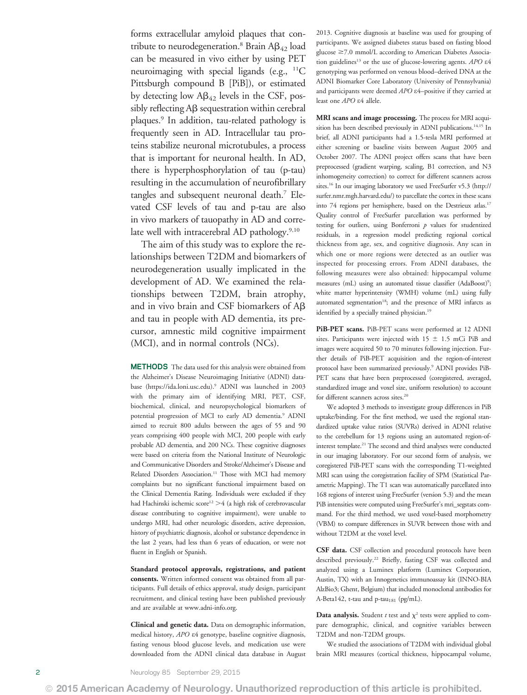forms extracellular amyloid plaques that contribute to neurodegeneration.<sup>8</sup> Brain  $AB_{42}$  load can be measured in vivo either by using PET neuroimaging with special ligands (e.g., <sup>11</sup>C Pittsburgh compound B [PiB]), or estimated by detecting low  $\mathbf{A}\mathbf{\beta}_{42}$  levels in the CSF, possibly reflecting  $\overrightarrow{AB}$  sequestration within cerebral plaques.9 In addition, tau-related pathology is frequently seen in AD. Intracellular tau proteins stabilize neuronal microtubules, a process that is important for neuronal health. In AD, there is hyperphosphorylation of tau (p-tau) resulting in the accumulation of neurofibrillary tangles and subsequent neuronal death.7 Elevated CSF levels of tau and p-tau are also in vivo markers of tauopathy in AD and correlate well with intracerebral AD pathology.<sup>9,10</sup>

The aim of this study was to explore the relationships between T2DM and biomarkers of neurodegeneration usually implicated in the development of AD. We examined the relationships between T2DM, brain atrophy, and in vivo brain and CSF biomarkers of  $\overrightarrow{AB}$ and tau in people with AD dementia, its precursor, amnestic mild cognitive impairment (MCI), and in normal controls (NCs).

METHODS The data used for this analysis were obtained from the Alzheimer's Disease Neuroimaging Initiative (ADNI) database ([https://ida.loni.usc.edu\)](https://ida.loni.usc.edu).9 ADNI was launched in 2003 with the primary aim of identifying MRI, PET, CSF, biochemical, clinical, and neuropsychological biomarkers of potential progression of MCI to early AD dementia.<sup>9</sup> ADNI aimed to recruit 800 adults between the ages of 55 and 90 years comprising 400 people with MCI, 200 people with early probable AD dementia, and 200 NCs. These cognitive diagnoses were based on criteria from the National Institute of Neurologic and Communicative Disorders and Stroke/Alzheimer's Disease and Related Disorders Association.<sup>11</sup> Those with MCI had memory complaints but no significant functional impairment based on the Clinical Dementia Rating. Individuals were excluded if they had Hachinski ischemic score<sup>12</sup>  $>4$  (a high risk of cerebrovascular disease contributing to cognitive impairment), were unable to undergo MRI, had other neurologic disorders, active depression, history of psychiatric diagnosis, alcohol or substance dependence in the last 2 years, had less than 6 years of education, or were not fluent in English or Spanish.

Standard protocol approvals, registrations, and patient consents. Written informed consent was obtained from all participants. Full details of ethics approval, study design, participant recruitment, and clinical testing have been published previously and are available at [www.adni-info.org.](http://www.adni-info.org/)

Clinical and genetic data. Data on demographic information, medical history, APO e4 genotype, baseline cognitive diagnosis, fasting venous blood glucose levels, and medication use were downloaded from the ADNI clinical data database in August 2013. Cognitive diagnosis at baseline was used for grouping of participants. We assigned diabetes status based on fasting blood glucose  $\geq$ 7.0 mmol/L according to American Diabetes Association guidelines<sup>13</sup> or the use of glucose-lowering agents.  $APO$   $\varepsilon4$ genotyping was performed on venous blood–derived DNA at the ADNI Biomarker Core Laboratory (University of Pennsylvania) and participants were deemed APO  $\varepsilon$ 4-positive if they carried at least one APO e4 allele.

MRI scans and image processing. The process for MRI acquisition has been described previously in ADNI publications.<sup>14,15</sup> In brief, all ADNI participants had a 1.5-tesla MRI performed at either screening or baseline visits between August 2005 and October 2007. The ADNI project offers scans that have been preprocessed (gradient warping, scaling, B1 correction, and N3 inhomogeneity correction) to correct for different scanners across sites.16 In our imaging laboratory we used FreeSurfer v5.3 [\(http://](http://surfer.nmr.mgh.harvard.edu/) [surfer.nmr.mgh.harvard.edu/](http://surfer.nmr.mgh.harvard.edu/)) to parcellate the cortex in these scans into 74 regions per hemisphere, based on the Destrieux atlas.17 Quality control of FreeSurfer parcellation was performed by testing for outliers, using Bonferroni  $p$  values for studentized residuals, in a regression model predicting regional cortical thickness from age, sex, and cognitive diagnosis. Any scan in which one or more regions were detected as an outlier was inspected for processing errors. From ADNI databases, the following measures were also obtained: hippocampal volume measures (mL) using an automated tissue classifier (AdaBoost)<sup>9</sup>; white matter hyperintensity (WMH) volume (mL) using fully automated segmentation<sup>18</sup>; and the presence of MRI infarcts as identified by a specially trained physician.<sup>19</sup>

PiB-PET scans. PiB-PET scans were performed at 12 ADNI sites. Participants were injected with  $15 \pm 1.5$  mCi PiB and images were acquired 50 to 70 minutes following injection. Further details of PiB-PET acquisition and the region-of-interest protocol have been summarized previously.9 ADNI provides PiB-PET scans that have been preprocessed (coregistered, averaged, standardized image and voxel size, uniform resolution) to account for different scanners across sites.<sup>20</sup>

We adopted 3 methods to investigate group differences in PiB uptake/binding. For the first method, we used the regional standardized uptake value ratios (SUVRs) derived in ADNI relative to the cerebellum for 13 regions using an automated region-ofinterest template.21 The second and third analyses were conducted in our imaging laboratory. For our second form of analysis, we coregistered PiB-PET scans with the corresponding T1-weighted MRI scan using the coregistration facility of SPM (Statistical Parametric Mapping). The T1 scan was automatically parcellated into 168 regions of interest using FreeSurfer (version 5.3) and the mean PiB intensities were computed using FreeSurfer's mri\_segstats command. For the third method, we used voxel-based morphometry (VBM) to compare differences in SUVR between those with and without T2DM at the voxel level.

CSF data. CSF collection and procedural protocols have been described previously.<sup>22</sup> Briefly, fasting CSF was collected and analyzed using a Luminex platform (Luminex Corporation, Austin, TX) with an Innogenetics immunoassay kit (INNO-BIA AlzBio3; Ghent, Belgium) that included monoclonal antibodies for A-Beta142, t-tau and p-tau<sub>181</sub> (pg/mL).

**Data analysis.** Student t test and  $\chi^2$  tests were applied to compare demographic, clinical, and cognitive variables between T2DM and non-T2DM groups.

We studied the associations of T2DM with individual global brain MRI measures (cortical thickness, hippocampal volume,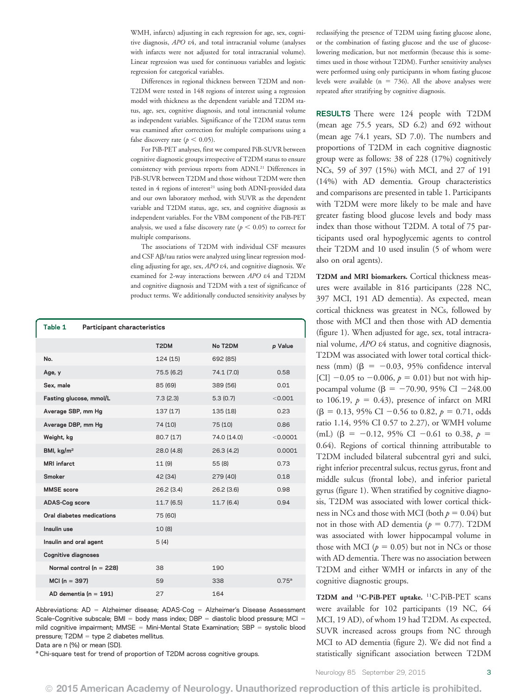WMH, infarcts) adjusting in each regression for age, sex, cognitive diagnosis, APO e4, and total intracranial volume (analyses with infarcts were not adjusted for total intracranial volume). Linear regression was used for continuous variables and logistic regression for categorical variables.

Differences in regional thickness between T2DM and non-T2DM were tested in 148 regions of interest using a regression model with thickness as the dependent variable and T2DM status, age, sex, cognitive diagnosis, and total intracranial volume as independent variables. Significance of the T2DM status term was examined after correction for multiple comparisons using a false discovery rate ( $p < 0.05$ ).

For PiB-PET analyses, first we compared PiB-SUVR between cognitive diagnostic groups irrespective of T2DM status to ensure consistency with previous reports from ADNI.21 Differences in PiB-SUVR between T2DM and those without T2DM were then tested in 4 regions of interest<sup>21</sup> using both ADNI-provided data and our own laboratory method, with SUVR as the dependent variable and T2DM status, age, sex, and cognitive diagnosis as independent variables. For the VBM component of the PiB-PET analysis, we used a false discovery rate ( $p < 0.05$ ) to correct for multiple comparisons.

The associations of T2DM with individual CSF measures and CSF A $\beta$ /tau ratios were analyzed using linear regression modeling adjusting for age, sex, APO e4, and cognitive diagnosis. We examined for 2-way interactions between APO e4 and T2DM and cognitive diagnosis and T2DM with a test of significance of product terms. We additionally conducted sensitivity analyses by

| Table 1                    | <b>Participant characteristics</b> |                   |             |                   |
|----------------------------|------------------------------------|-------------------|-------------|-------------------|
|                            |                                    | T <sub>2</sub> DM | No T2DM     | p Value           |
| No.                        |                                    | 124(15)           | 692 (85)    |                   |
| Age, y                     |                                    | 75.5 (6.2)        | 74.1 (7.0)  | 0.58              |
| Sex, male                  |                                    | 85 (69)           | 389 (56)    | 0.01              |
| Fasting glucose, mmol/L    |                                    | 7.3(2.3)          | 5.3(0.7)    | < 0.001           |
| Average SBP, mm Hg         |                                    | 137 (17)          | 135 (18)    | 0.23              |
| Average DBP, mm Hg         |                                    | 74 (10)           | 75 (10)     | 0.86              |
| Weight, kg                 |                                    | 80.7 (17)         | 74.0 (14.0) | < 0.0001          |
| BMI, $\text{kg/m}^2$       |                                    | 28.0(4.8)         | 26.3(4.2)   | 0.0001            |
| <b>MRI</b> infarct         |                                    | 11 (9)            | 55 (8)      | 0.73              |
| Smoker                     |                                    | 42 (34)           | 279 (40)    | 0.18              |
| <b>MMSE</b> score          |                                    | 26.2(3.4)         | 26.2(3.6)   | 0.98              |
| <b>ADAS-Cog score</b>      |                                    | 11.7(6.5)         | 11.7(6.4)   | 0.94              |
|                            | Oral diabetes medications          | 75 (60)           |             |                   |
| Insulin use                |                                    | 10(8)             |             |                   |
| Insulin and oral agent     |                                    | 5(4)              |             |                   |
| <b>Cognitive diagnoses</b> |                                    |                   |             |                   |
|                            | Normal control ( $n = 228$ )       | 38                | 190         |                   |
| $MCI(n = 397)$             |                                    | 59                | 338         | 0.75 <sup>a</sup> |
|                            | AD dementia ( $n = 191$ )          | 27                | 164         |                   |

Abbreviations:  $AD =$  Alzheimer disease; ADAS-Cog = Alzheimer's Disease Assessment Scale-Cognitive subscale; BMI = body mass index; DBP = diastolic blood pressure; MCI = mild cognitive impairment; MMSE = Mini-Mental State Examination; SBP = systolic blood pressure;  $T2DM = type 2$  diabetes mellitus.

Data are n (%) or mean (SD).

<sup>a</sup> Chi-square test for trend of proportion of T2DM across cognitive groups.

reclassifying the presence of T2DM using fasting glucose alone, or the combination of fasting glucose and the use of glucoselowering medication, but not metformin (because this is sometimes used in those without T2DM). Further sensitivity analyses were performed using only participants in whom fasting glucose levels were available ( $n = 736$ ). All the above analyses were repeated after stratifying by cognitive diagnosis.

RESULTS There were 124 people with T2DM (mean age 75.5 years, SD 6.2) and 692 without (mean age 74.1 years, SD 7.0). The numbers and proportions of T2DM in each cognitive diagnostic group were as follows: 38 of 228 (17%) cognitively NCs, 59 of 397 (15%) with MCI, and 27 of 191 (14%) with AD dementia. Group characteristics and comparisons are presented in table 1. Participants with T2DM were more likely to be male and have greater fasting blood glucose levels and body mass index than those without T2DM. A total of 75 participants used oral hypoglycemic agents to control their T2DM and 10 used insulin (5 of whom were also on oral agents).

T2DM and MRI biomarkers. Cortical thickness measures were available in 816 participants (228 NC, 397 MCI, 191 AD dementia). As expected, mean cortical thickness was greatest in NCs, followed by those with MCI and then those with AD dementia (figure 1). When adjusted for age, sex, total intracranial volume, APO e4 status, and cognitive diagnosis, T2DM was associated with lower total cortical thickness (mm) ( $\beta$  = -0.03, 95% confidence interval [CI]  $-0.05$  to  $-0.006$ ,  $p = 0.01$ ) but not with hippocampal volume ( $\beta = -70.90, 95\% \text{ CI} - 248.00$ to 106.19,  $p = 0.43$ ), presence of infarct on MRI  $(\beta = 0.13, 95\% \text{ CI} - 0.56 \text{ to } 0.82, p = 0.71, \text{ odds}$ ratio 1.14, 95% CI 0.57 to 2.27), or WMH volume (mL) ( $\beta$  = -0.12, 95% CI -0.61 to 0.38,  $p =$ 0.64). Regions of cortical thinning attributable to T2DM included bilateral subcentral gyri and sulci, right inferior precentral sulcus, rectus gyrus, front and middle sulcus (frontal lobe), and inferior parietal gyrus (figure 1). When stratified by cognitive diagnosis, T2DM was associated with lower cortical thickness in NCs and those with MCI (both  $p = 0.04$ ) but not in those with AD dementia ( $p = 0.77$ ). T2DM was associated with lower hippocampal volume in those with MCI ( $p = 0.05$ ) but not in NCs or those with AD dementia. There was no association between T2DM and either WMH or infarcts in any of the cognitive diagnostic groups.

T2DM and <sup>11</sup>C-PiB-PET uptake. <sup>11</sup>C-PiB-PET scans were available for 102 participants (19 NC, 64 MCI, 19 AD), of whom 19 had T2DM. As expected, SUVR increased across groups from NC through MCI to AD dementia (figure 2). We did not find a statistically significant association between T2DM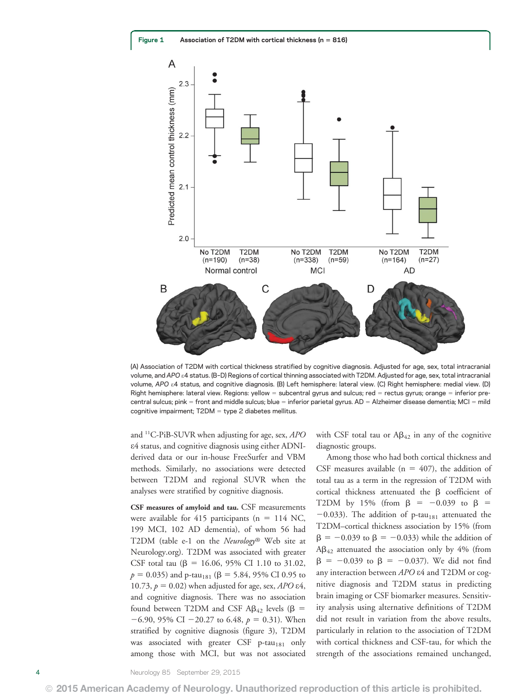

(A) Association of T2DM with cortical thickness stratified by cognitive diagnosis. Adjusted for age, sex, total intracranial volume, and APO e4 status. (B–D) Regions of cortical thinning associated with T2DM. Adjusted for age, sex, total intracranial volume, APO e4 status, and cognitive diagnosis. (B) Left hemisphere: lateral view. (C) Right hemisphere: medial view. (D) Right hemisphere: lateral view. Regions: yellow = subcentral gyrus and sulcus; red = rectus gyrus; orange = inferior precentral sulcus; pink = front and middle sulcus; blue = inferior parietal gyrus.  $AD =$  Alzheimer disease dementia; MCI = mild cognitive impairment;  $T2DM =$  type 2 diabetes mellitus.

and  $^{11}$ C-PiB-SUVR when adjusting for age, sex, *APO* e4 status, and cognitive diagnosis using either ADNIderived data or our in-house FreeSurfer and VBM methods. Similarly, no associations were detected between T2DM and regional SUVR when the analyses were stratified by cognitive diagnosis.

CSF measures of amyloid and tau. CSF measurements were available for 415 participants ( $n = 114$  NC, 199 MCI, 102 AD dementia), of whom 56 had T2DM (table e-1 on the Neurology® Web site at [Neurology.org](http://neurology.org/lookup/doi/10.1212/WNL.0000000000001982)). T2DM was associated with greater CSF total tau ( $\beta$  = 16.06, 95% CI 1.10 to 31.02,  $p = 0.035$ ) and p-tau<sub>181</sub> ( $\beta = 5.84, 95\%$  CI 0.95 to 10.73,  $p = 0.02$ ) when adjusted for age, sex, APO  $\epsilon$ 4, and cognitive diagnosis. There was no association found between T2DM and CSF A $\beta$ <sub>42</sub> levels ( $\beta$  =  $-6.90$ , 95% CI  $-20.27$  to 6.48,  $p = 0.31$ ). When stratified by cognitive diagnosis (figure 3), T2DM was associated with greater CSF p-tau<sub>181</sub> only among those with MCI, but was not associated with CSF total tau or  $\text{AB}_{42}$  in any of the cognitive diagnostic groups.

Among those who had both cortical thickness and CSF measures available ( $n = 407$ ), the addition of total tau as a term in the regression of T2DM with cortical thickness attenuated the  $\beta$  coefficient of T2DM by 15% (from  $\beta$  = -0.039 to  $\beta$  =  $-0.033$ ). The addition of p-tau<sub>181</sub> attenuated the T2DM–cortical thickness association by 15% (from  $\beta = -0.039$  to  $\beta = -0.033$ ) while the addition of  $AB_{42}$  attenuated the association only by 4% (from  $\beta = -0.039$  to  $\beta = -0.037$ ). We did not find any interaction between APO  $\varepsilon$ 4 and T2DM or cognitive diagnosis and T2DM status in predicting brain imaging or CSF biomarker measures. Sensitivity analysis using alternative definitions of T2DM did not result in variation from the above results, particularly in relation to the association of T2DM with cortical thickness and CSF-tau, for which the strength of the associations remained unchanged,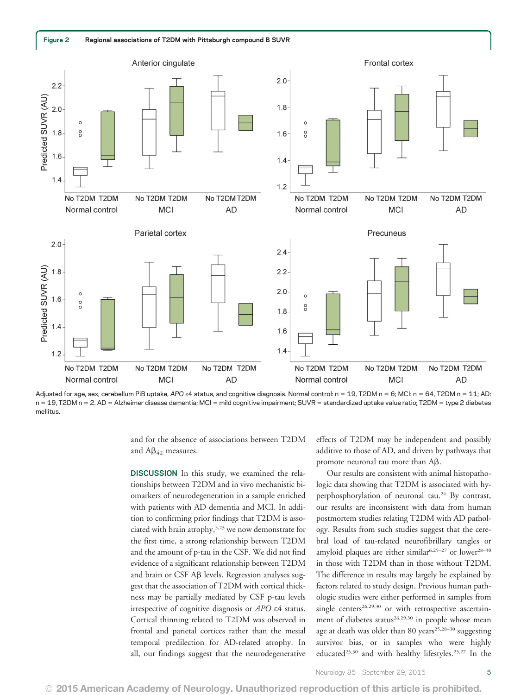

Adjusted for age, sex, cerebellum PiB uptake, APO  $\varepsilon$ 4 status, and cognitive diagnosis. Normal control: n = 19, T2DM n = 6; MCI: n = 64, T2DM n = 11; AD:  $n = 19$ , T2DM  $n = 2$ . AD = Alzheimer disease dementia; MCI = mild cognitive impairment; SUVR = standardized uptake value ratio; T2DM = type 2 diabetes mellitus.

and for the absence of associations between T2DM and  $\text{A}\beta_{42}$  measures.

DISCUSSION In this study, we examined the relationships between T2DM and in vivo mechanistic biomarkers of neurodegeneration in a sample enriched with patients with AD dementia and MCI. In addition to confirming prior findings that T2DM is associated with brain atrophy,5,23 we now demonstrate for the first time, a strong relationship between T2DM and the amount of p-tau in the CSF. We did not find evidence of a significant relationship between T2DM and brain or CSF  $\mathsf{AB}$  levels. Regression analyses suggest that the association of T2DM with cortical thickness may be partially mediated by CSF p-tau levels irrespective of cognitive diagnosis or APO e4 status. Cortical thinning related to T2DM was observed in frontal and parietal cortices rather than the mesial temporal predilection for AD-related atrophy. In all, our findings suggest that the neurodegenerative effects of T2DM may be independent and possibly additive to those of AD, and driven by pathways that promote neuronal tau more than  $A\beta$ .

Our results are consistent with animal histopathologic data showing that T2DM is associated with hyperphosphorylation of neuronal tau.24 By contrast, our results are inconsistent with data from human postmortem studies relating T2DM with AD pathology. Results from such studies suggest that the cerebral load of tau-related neurofibrillary tangles or amyloid plaques are either similar<sup>6,25-27</sup> or lower<sup>28-30</sup> in those with T2DM than in those without T2DM. The difference in results may largely be explained by factors related to study design. Previous human pathologic studies were either performed in samples from single centers<sup>26,29,30</sup> or with retrospective ascertainment of diabetes status<sup>26,29,30</sup> in people whose mean age at death was older than 80 years $25,28-30$  suggesting survivor bias, or in samples who were highly educated<sup>25,30</sup> and with healthy lifestyles.<sup>25,27</sup> In the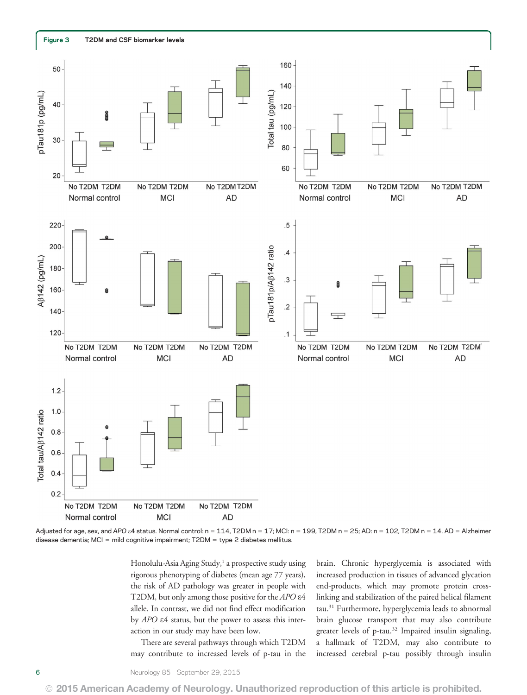

Adjusted for age, sex, and APO &4 status. Normal control: n = 114, T2DM n = 17; MCI: n = 199, T2DM n = 25; AD: n = 102, T2DM n = 14. AD = Alzheimer disease dementia; MCI = mild cognitive impairment;  $T2DM =$  type 2 diabetes mellitus.

Honolulu-Asia Aging Study,<sup>1</sup> a prospective study using rigorous phenotyping of diabetes (mean age 77 years), the risk of AD pathology was greater in people with T2DM, but only among those positive for the APO  $\varepsilon$ 4 allele. In contrast, we did not find effect modification by APO e4 status, but the power to assess this interaction in our study may have been low.

There are several pathways through which T2DM may contribute to increased levels of p-tau in the brain. Chronic hyperglycemia is associated with increased production in tissues of advanced glycation end-products, which may promote protein crosslinking and stabilization of the paired helical filament tau.31 Furthermore, hyperglycemia leads to abnormal brain glucose transport that may also contribute greater levels of p-tau.32 Impaired insulin signaling, a hallmark of T2DM, may also contribute to increased cerebral p-tau possibly through insulin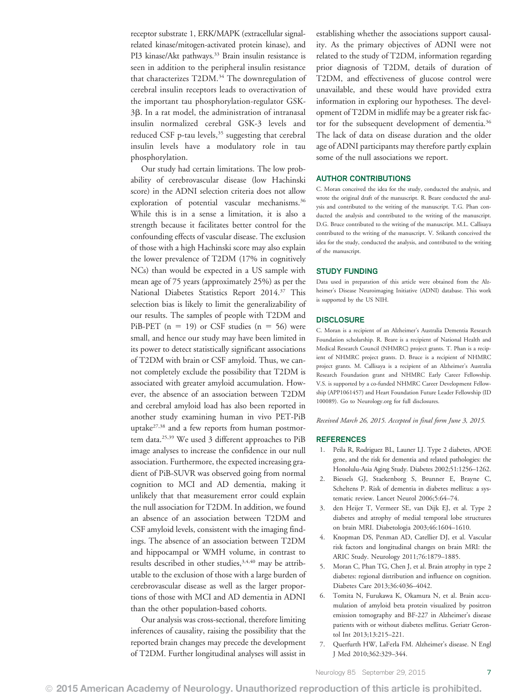receptor substrate 1, ERK/MAPK (extracellular signalrelated kinase/mitogen-activated protein kinase), and PI3 kinase/Akt pathways.<sup>33</sup> Brain insulin resistance is seen in addition to the peripheral insulin resistance that characterizes T2DM.<sup>34</sup> The downregulation of cerebral insulin receptors leads to overactivation of the important tau phosphorylation-regulator GSK-3β. In a rat model, the administration of intranasal insulin normalized cerebral GSK-3 levels and reduced CSF p-tau levels,<sup>35</sup> suggesting that cerebral insulin levels have a modulatory role in tau phosphorylation.

Our study had certain limitations. The low probability of cerebrovascular disease (low Hachinski score) in the ADNI selection criteria does not allow exploration of potential vascular mechanisms.<sup>36</sup> While this is in a sense a limitation, it is also a strength because it facilitates better control for the confounding effects of vascular disease. The exclusion of those with a high Hachinski score may also explain the lower prevalence of T2DM (17% in cognitively NCs) than would be expected in a US sample with mean age of 75 years (approximately 25%) as per the National Diabetes Statistics Report 2014.37 This selection bias is likely to limit the generalizability of our results. The samples of people with T2DM and PiB-PET ( $n = 19$ ) or CSF studies ( $n = 56$ ) were small, and hence our study may have been limited in its power to detect statistically significant associations of T2DM with brain or CSF amyloid. Thus, we cannot completely exclude the possibility that T2DM is associated with greater amyloid accumulation. However, the absence of an association between T2DM and cerebral amyloid load has also been reported in another study examining human in vivo PET-PiB uptake27,38 and a few reports from human postmortem data.25,39 We used 3 different approaches to PiB image analyses to increase the confidence in our null association. Furthermore, the expected increasing gradient of PiB-SUVR was observed going from normal cognition to MCI and AD dementia, making it unlikely that that measurement error could explain the null association for T2DM. In addition, we found an absence of an association between T2DM and CSF amyloid levels, consistent with the imaging findings. The absence of an association between T2DM and hippocampal or WMH volume, in contrast to results described in other studies,<sup>3,4,40</sup> may be attributable to the exclusion of those with a large burden of cerebrovascular disease as well as the larger proportions of those with MCI and AD dementia in ADNI than the other population-based cohorts.

Our analysis was cross-sectional, therefore limiting inferences of causality, raising the possibility that the reported brain changes may precede the development of T2DM. Further longitudinal analyses will assist in establishing whether the associations support causality. As the primary objectives of ADNI were not related to the study of T2DM, information regarding prior diagnosis of T2DM, details of duration of T2DM, and effectiveness of glucose control were unavailable, and these would have provided extra information in exploring our hypotheses. The development of T2DM in midlife may be a greater risk factor for the subsequent development of dementia.<sup>36</sup> The lack of data on disease duration and the older age of ADNI participants may therefore partly explain some of the null associations we report.

#### AUTHOR CONTRIBUTIONS

C. Moran conceived the idea for the study, conducted the analysis, and wrote the original draft of the manuscript. R. Beare conducted the analysis and contributed to the writing of the manuscript. T.G. Phan conducted the analysis and contributed to the writing of the manuscript. D.G. Bruce contributed to the writing of the manuscript. M.L. Callisaya contributed to the writing of the manuscript. V. Srikanth conceived the idea for the study, conducted the analysis, and contributed to the writing of the manuscript.

#### STUDY FUNDING

Data used in preparation of this article were obtained from the Alzheimer's Disease Neuroimaging Initiative (ADNI) database. This work is supported by the US NIH.

#### **DISCLOSURE**

C. Moran is a recipient of an Alzheimer's Australia Dementia Research Foundation scholarship. R. Beare is a recipient of National Health and Medical Research Council (NHMRC) project grants. T. Phan is a recipient of NHMRC project grants. D. Bruce is a recipient of NHMRC project grants. M. Callisaya is a recipient of an Alzheimer's Australia Research Foundation grant and NHMRC Early Career Fellowship. V.S. is supported by a co-funded NHMRC Career Development Fellowship (APP1061457) and Heart Foundation Future Leader Fellowship (ID 100089). Go to [Neurology.org](http://neurology.org/lookup/doi/10.1212/WNL.0000000000001982) for full disclosures.

#### Received March 26, 2015. Accepted in final form June 3, 2015.

#### REFERENCES

- 1. Peila R, Rodriguez BL, Launer LJ. Type 2 diabetes, APOE gene, and the risk for dementia and related pathologies: the Honolulu-Asia Aging Study. Diabetes 2002;51:1256–1262.
- 2. Biessels GJ, Staekenborg S, Brunner E, Brayne C, Scheltens P. Risk of dementia in diabetes mellitus: a systematic review. Lancet Neurol 2006;5:64–74.
- 3. den Heijer T, Vermeer SE, van Dijk EJ, et al. Type 2 diabetes and atrophy of medial temporal lobe structures on brain MRI. Diabetologia 2003;46:1604–1610.
- 4. Knopman DS, Penman AD, Catellier DJ, et al. Vascular risk factors and longitudinal changes on brain MRI: the ARIC Study. Neurology 2011;76:1879–1885.
- 5. Moran C, Phan TG, Chen J, et al. Brain atrophy in type 2 diabetes: regional distribution and influence on cognition. Diabetes Care 2013;36:4036–4042.
- 6. Tomita N, Furukawa K, Okamura N, et al. Brain accumulation of amyloid beta protein visualized by positron emission tomography and BF-227 in Alzheimer's disease patients with or without diabetes mellitus. Geriatr Gerontol Int 2013;13:215–221.
- 7. Querfurth HW, LaFerla FM. Alzheimer's disease. N Engl J Med 2010;362:329–344.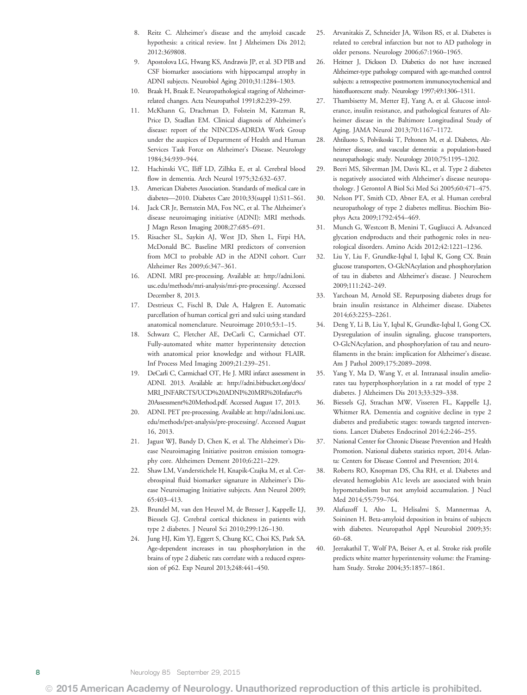- 8. Reitz C. Alzheimer's disease and the amyloid cascade hypothesis: a critical review. Int J Alzheimers Dis 2012; 2012:369808.
- 9. Apostolova LG, Hwang KS, Andrawis JP, et al. 3D PIB and CSF biomarker associations with hippocampal atrophy in ADNI subjects. Neurobiol Aging 2010;31:1284–1303.
- 10. Braak H, Braak E. Neuropathological stageing of Alzheimerrelated changes. Acta Neuropathol 1991;82:239–259.
- 11. McKhann G, Drachman D, Folstein M, Katzman R, Price D, Stadlan EM. Clinical diagnosis of Alzheimer's disease: report of the NINCDS-ADRDA Work Group under the auspices of Department of Health and Human Services Task Force on Alzheimer's Disease. Neurology 1984;34:939–944.
- 12. Hachinski VC, Iliff LD, Zilhka E, et al. Cerebral blood flow in dementia. Arch Neurol 1975;32:632–637.
- 13. American Diabetes Association. Standards of medical care in diabetes—2010. Diabetes Care 2010;33(suppl 1):S11–S61.
- 14. Jack CR Jr, Bernstein MA, Fox NC, et al. The Alzheimer's disease neuroimaging initiative (ADNI): MRI methods. J Magn Reson Imaging 2008;27:685–691.
- 15. Risacher SL, Saykin AJ, West JD, Shen L, Firpi HA, McDonald BC. Baseline MRI predictors of conversion from MCI to probable AD in the ADNI cohort. Curr Alzheimer Res 2009;6:347–361.
- 16. ADNI. MRI pre-processing. Available at: [http://adni.loni.](http://adni.loni.usc.edu/methods/mri-analysis/mri-pre-processing/) [usc.edu/methods/mri-analysis/mri-pre-processing/.](http://adni.loni.usc.edu/methods/mri-analysis/mri-pre-processing/) Accessed December 8, 2013.
- 17. Destrieux C, Fischl B, Dale A, Halgren E. Automatic parcellation of human cortical gyri and sulci using standard anatomical nomenclature. Neuroimage 2010;53:1–15.
- 18. Schwarz C, Fletcher AE, DeCarli C, Carmichael OT. Fully-automated white matter hyperintensity detection with anatomical prior knowledge and without FLAIR. Inf Process Med Imaging 2009;21:239–251.
- 19. DeCarli C, Carmichael OT, He J. MRI infarct assessment in ADNI. 2013. Available at: [http://adni.bitbucket.org/docs/](http://adni.bitbucket.org/docs/MRI_INFARCTS/UCD%20ADNI%20MRI%20Infarct%20Assessment%20Method.pdf) [MRI\\_INFARCTS/UCD%20ADNI%20MRI%20Infarct%](http://adni.bitbucket.org/docs/MRI_INFARCTS/UCD%20ADNI%20MRI%20Infarct%20Assessment%20Method.pdf) [20Assessment%20Method.pdf.](http://adni.bitbucket.org/docs/MRI_INFARCTS/UCD%20ADNI%20MRI%20Infarct%20Assessment%20Method.pdf) Accessed August 17, 2013.
- 20. ADNI. PET pre-processing. Available at: [http://adni.loni.usc.](http://adni.loni.usc.edu/methods/pet-analysis/pre-processing/) [edu/methods/pet-analysis/pre-processing/](http://adni.loni.usc.edu/methods/pet-analysis/pre-processing/). Accessed August 16, 2013.
- 21. Jagust WJ, Bandy D, Chen K, et al. The Alzheimer's Disease Neuroimaging Initiative positron emission tomography core. Alzheimers Dement 2010;6:221–229.
- 22. Shaw LM, Vanderstichele H, Knapik-Czajka M, et al. Cerebrospinal fluid biomarker signature in Alzheimer's Disease Neuroimaging Initiative subjects. Ann Neurol 2009; 65:403–413.
- 23. Brundel M, van den Heuvel M, de Bresser J, Kappelle LJ, Biessels GJ. Cerebral cortical thickness in patients with type 2 diabetes. J Neurol Sci 2010;299:126–130.
- 24. Jung HJ, Kim YJ, Eggert S, Chung KC, Choi KS, Park SA. Age-dependent increases in tau phosphorylation in the brains of type 2 diabetic rats correlate with a reduced expression of p62. Exp Neurol 2013;248:441–450.
- 25. Arvanitakis Z, Schneider JA, Wilson RS, et al. Diabetes is related to cerebral infarction but not to AD pathology in older persons. Neurology 2006;67:1960–1965.
- 26. Heitner J, Dickson D. Diabetics do not have increased Alzheimer-type pathology compared with age-matched control subjects: a retrospective postmortem immunocytochemical and histofluorescent study. Neurology 1997;49:1306–1311.
- 27. Thambisetty M, Metter EJ, Yang A, et al. Glucose intolerance, insulin resistance, and pathological features of Alzheimer disease in the Baltimore Longitudinal Study of Aging. JAMA Neurol 2013;70:1167–1172.
- 28. Ahtiluoto S, Polvikoski T, Peltonen M, et al. Diabetes, Alzheimer disease, and vascular dementia: a population-based neuropathologic study. Neurology 2010;75:1195–1202.
- 29. Beeri MS, Silverman JM, Davis KL, et al. Type 2 diabetes is negatively associated with Alzheimer's disease neuropathology. J Gerontol A Biol Sci Med Sci 2005;60:471–475.
- 30. Nelson PT, Smith CD, Abner EA, et al. Human cerebral neuropathology of type 2 diabetes mellitus. Biochim Biophys Acta 2009;1792:454–469.
- 31. Munch G, Westcott B, Menini T, Gugliucci A. Advanced glycation endproducts and their pathogenic roles in neurological disorders. Amino Acids 2012;42:1221–1236.
- 32. Liu Y, Liu F, Grundke-Iqbal I, Iqbal K, Gong CX. Brain glucose transporters, O-GlcNAcylation and phosphorylation of tau in diabetes and Alzheimer's disease. J Neurochem 2009;111:242–249.
- 33. Yarchoan M, Arnold SE. Repurposing diabetes drugs for brain insulin resistance in Alzheimer disease. Diabetes 2014;63:2253–2261.
- 34. Deng Y, Li B, Liu Y, Iqbal K, Grundke-Iqbal I, Gong CX. Dysregulation of insulin signaling, glucose transporters, O-GlcNAcylation, and phosphorylation of tau and neurofilaments in the brain: implication for Alzheimer's disease. Am J Pathol 2009;175:2089–2098.
- 35. Yang Y, Ma D, Wang Y, et al. Intranasal insulin ameliorates tau hyperphosphorylation in a rat model of type 2 diabetes. J Alzheimers Dis 2013;33:329–338.
- 36. Biessels GJ, Strachan MW, Visseren FL, Kappelle LJ, Whitmer RA. Dementia and cognitive decline in type 2 diabetes and prediabetic stages: towards targeted interventions. Lancet Diabetes Endocrinol 2014;2:246–255.
- 37. National Center for Chronic Disease Prevention and Health Promotion. National diabetes statistics report, 2014. Atlanta: Centers for Disease Control and Prevention; 2014.
- 38. Roberts RO, Knopman DS, Cha RH, et al. Diabetes and elevated hemoglobin A1c levels are associated with brain hypometabolism but not amyloid accumulation. J Nucl Med 2014;55:759–764.
- 39. Alafuzoff I, Aho L, Helisalmi S, Mannermaa A, Soininen H. Beta-amyloid deposition in brains of subjects with diabetes. Neuropathol Appl Neurobiol 2009;35: 60–68.
- 40. Jeerakathil T, Wolf PA, Beiser A, et al. Stroke risk profile predicts white matter hyperintensity volume: the Framingham Study. Stroke 2004;35:1857–1861.

© 2015 American Academy of Neurology. Unauthorized reproduction of this article is prohibited.